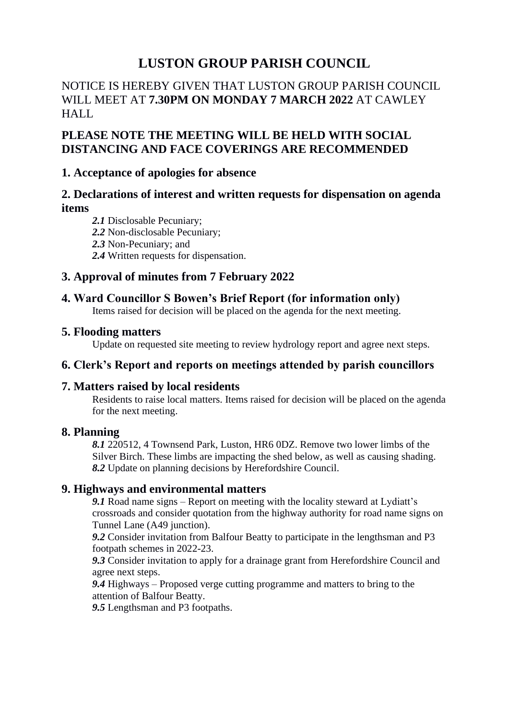# **LUSTON GROUP PARISH COUNCIL**

# NOTICE IS HEREBY GIVEN THAT LUSTON GROUP PARISH COUNCIL WILL MEET AT **7.30PM ON MONDAY 7 MARCH 2022** AT CAWLEY HALL

# **PLEASE NOTE THE MEETING WILL BE HELD WITH SOCIAL DISTANCING AND FACE COVERINGS ARE RECOMMENDED**

## **1. Acceptance of apologies for absence**

# **2. Declarations of interest and written requests for dispensation on agenda items**

- *2.1* Disclosable Pecuniary;
- *2.2* Non-disclosable Pecuniary;
- *2.3* Non-Pecuniary; and
- *2.4* Written requests for dispensation.

# **3. Approval of minutes from 7 February 2022**

## **4. Ward Councillor S Bowen's Brief Report (for information only)**

Items raised for decision will be placed on the agenda for the next meeting.

## **5. Flooding matters**

Update on requested site meeting to review hydrology report and agree next steps.

# **6. Clerk's Report and reports on meetings attended by parish councillors**

## **7. Matters raised by local residents**

Residents to raise local matters. Items raised for decision will be placed on the agenda for the next meeting.

## **8. Planning**

*8.1* 220512, 4 Townsend Park, Luston, HR6 0DZ. Remove two lower limbs of the Silver Birch. These limbs are impacting the shed below, as well as causing shading. *8.2* Update on planning decisions by Herefordshire Council.

## **9. Highways and environmental matters**

*9.1* Road name signs – Report on meeting with the locality steward at Lydiatt's crossroads and consider quotation from the highway authority for road name signs on Tunnel Lane (A49 junction).

*9.2* Consider invitation from Balfour Beatty to participate in the lengthsman and P3 footpath schemes in 2022-23.

*9.3* Consider invitation to apply for a drainage grant from Herefordshire Council and agree next steps.

*9.4* Highways – Proposed verge cutting programme and matters to bring to the attention of Balfour Beatty.

*9.5* Lengthsman and P3 footpaths.